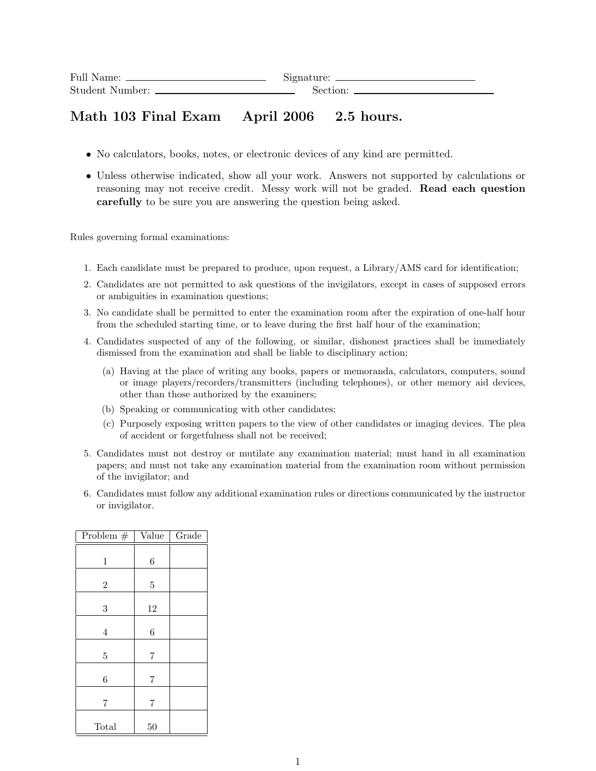| Full Name:             | Signature: |
|------------------------|------------|
| <b>Student Number:</b> | Section:   |

## Math 103 Final Exam April 2006 2.5 hours.

- No calculators, books, notes, or electronic devices of any kind are permitted.
- Unless otherwise indicated, show all your work. Answers not supported by calculations or reasoning may not receive credit. Messy work will not be graded. Read each question carefully to be sure you are answering the question being asked.

Rules governing formal examinations:

- 1. Each candidate must be prepared to produce, upon request, a Library/AMS card for identification;
- 2. Candidates are not permitted to ask questions of the invigilators, except in cases of supposed errors or ambiguities in examination questions;
- 3. No candidate shall be permitted to enter the examination room after the expiration of one-half hour from the scheduled starting time, or to leave during the first half hour of the examination;
- 4. Candidates suspected of any of the following, or similar, dishonest practices shall be immediately dismissed from the examination and shall be liable to disciplinary action;
	- (a) Having at the place of writing any books, papers or memoranda, calculators, computers, sound or image players/recorders/transmitters (including telephones), or other memory aid devices, other than those authorized by the examiners;
	- (b) Speaking or communicating with other candidates;
	- (c) Purposely exposing written papers to the view of other candidates or imaging devices. The plea of accident or forgetfulness shall not be received;
- 5. Candidates must not destroy or mutilate any examination material; must hand in all examination papers; and must not take any examination material from the examination room without permission of the invigilator; and
- 6. Candidates must follow any additional examination rules or directions communicated by the instructor or invigilator.

| Problem $#$    | Value          | Grade |
|----------------|----------------|-------|
| $\mathbf{1}$   | 6              |       |
| $\mathbf{2}$   | $\overline{5}$ |       |
| 3              | 12             |       |
| $\overline{4}$ | 6              |       |
| $\overline{5}$ | $\overline{7}$ |       |
| 6              | 7              |       |
| 7              | 7              |       |
| Total          | 50             |       |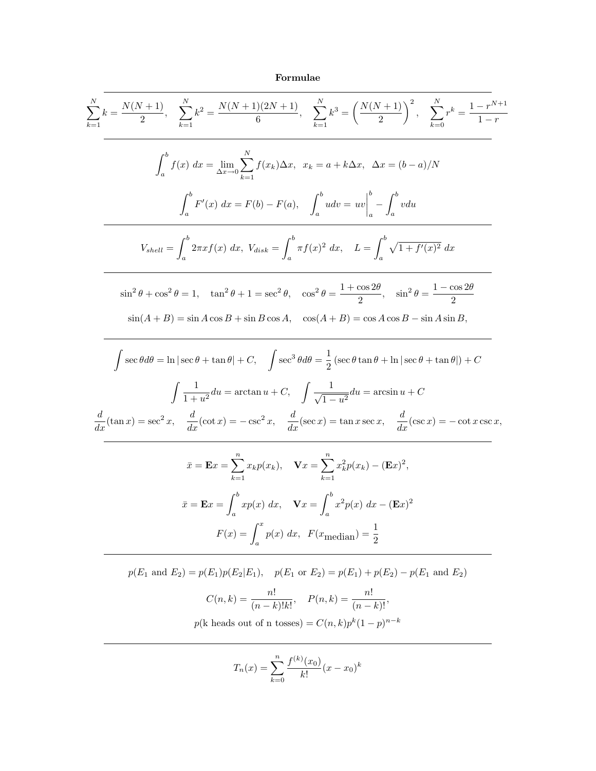## Formulae

$$
\sum_{k=1}^{N} k = \frac{N(N+1)}{2}, \quad \sum_{k=1}^{N} k^{2} = \frac{N(N+1)(2N+1)}{6}, \quad \sum_{k=1}^{N} k^{3} = \left(\frac{N(N+1)}{2}\right)^{2}, \quad \sum_{k=0}^{N} r^{k} = \frac{1-r^{N+1}}{1-r}
$$
  

$$
\int_{a}^{b} f(x) dx = \lim_{\Delta x \to 0} \sum_{k=1}^{N} f(x_{k}) \Delta x, \quad x_{k} = a + k \Delta x, \quad \Delta x = (b-a)/N
$$
  

$$
\int_{a}^{b} F'(x) dx = F(b) - F(a), \quad \int_{a}^{b} u dv = uv \Big|_{a}^{b} - \int_{a}^{b} v du
$$
  

$$
V_{shell} = \int_{a}^{b} 2\pi x f(x) dx, \quad V_{disk} = \int_{a}^{b} \pi f(x)^{2} dx, \quad L = \int_{a}^{b} \sqrt{1 + f'(x)^{2}} dx
$$
  

$$
\sin^{2} \theta + \cos^{2} \theta = 1, \quad \tan^{2} \theta + 1 = \sec^{2} \theta, \quad \cos^{2} \theta = \frac{1 + \cos^{2} \theta}{2}, \quad \sin^{2} \theta = \frac{1 - \cos^{2} \theta}{2}
$$
  

$$
\sin(A + B) = \sin A \cos B + \sin B \cos A, \quad \cos(A + B) = \cos A \cos B - \sin A \sin B,
$$
  

$$
\int \sec \theta d\theta = \ln|\sec \theta + \tan \theta| + C, \quad \int \sec^{3} \theta d\theta = \frac{1}{2}(\sec \theta \tan \theta + \ln|\sec \theta + \tan \theta|) + C
$$
  

$$
\int \frac{1}{1 + u^{2}} du = \arctan u + C, \quad \int \frac{1}{\sqrt{1 - u^{2}}} du = \arcsin u + C
$$
  

$$
\frac{d}{dx}(\tan x) = \sec^{2} x, \quad \frac{d}{dx}(\cot x) = -\csc^{2} x, \quad \frac{d}{dx}(\sec x) = \tan x \sec x, \quad \frac{d}{dx}(\csc x) = -\cot x \csc x,
$$
  

$$
\bar{x} = \mathbf{E} x = \sum_{k=1}^{b
$$

 $p(E_1 \text{ and } E_2) = p(E_1)p(E_2|E_1)$ ,  $p(E_1 \text{ or } E_2) = p(E_1) + p(E_2) - p(E_1 \text{ and } E_2)$  $C(n,k) = \frac{n!}{(n-k)!k!}, \quad P(n,k) = \frac{n!}{(n-k)!},$  $p(k \text{ heads out of } n \text{ tosses}) = C(n,k)p^{k}(1-p)^{n-k}$ 

$$
T_n(x) = \sum_{k=0}^{n} \frac{f^{(k)}(x_0)}{k!} (x - x_0)^k
$$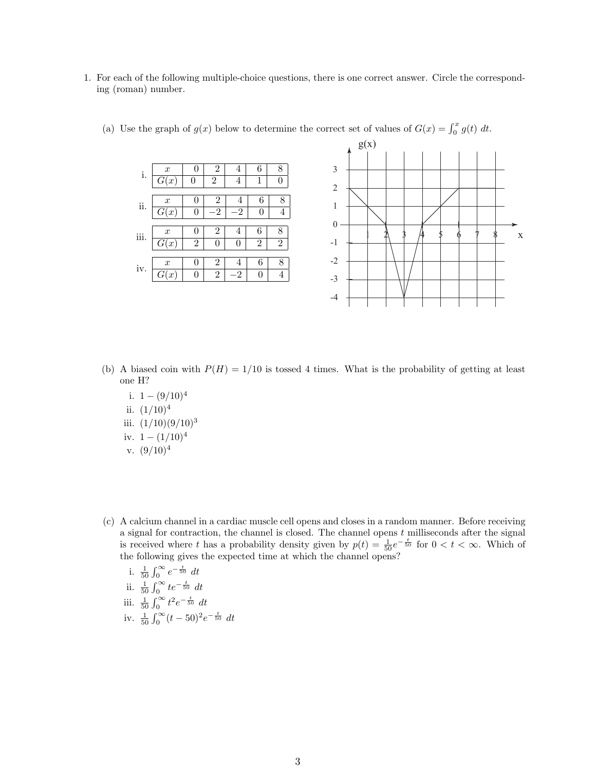1. For each of the following multiple-choice questions, there is one correct answer. Circle the corresponding (roman) number.



(a) Use the graph of  $g(x)$  below to determine the correct set of values of  $G(x) = \int_0^x g(t) dt$ .

- (b) A biased coin with  $P(H) = 1/10$  is tossed 4 times. What is the probability of getting at least one H?
	- i.  $1 (9/10)^4$ ii.  $(1/10)^4$ iii.  $(1/10)(9/10)^3$ iv.  $1 - (1/10)^4$ v.  $(9/10)^4$
- (c) A calcium channel in a cardiac muscle cell opens and closes in a random manner. Before receiving a signal for contraction, the channel is closed. The channel opens  $t$  milliseconds after the signal is received where t has a probability density given by  $p(t) = \frac{1}{50}e^{-\frac{t}{50}}$  for  $0 < t < \infty$ . Which of the following gives the expected time at which the channel opens?

i. 
$$
\frac{1}{50} \int_0^{\infty} e^{-\frac{t}{50}} dt
$$
  
\nii.  $\frac{1}{50} \int_0^{\infty} t e^{-\frac{t}{50}} dt$   
\niii.  $\frac{1}{50} \int_0^{\infty} t^2 e^{-\frac{t}{50}} dt$   
\niv.  $\frac{1}{50} \int_0^{\infty} (t - 50)^2 e^{-\frac{t}{50}} dt$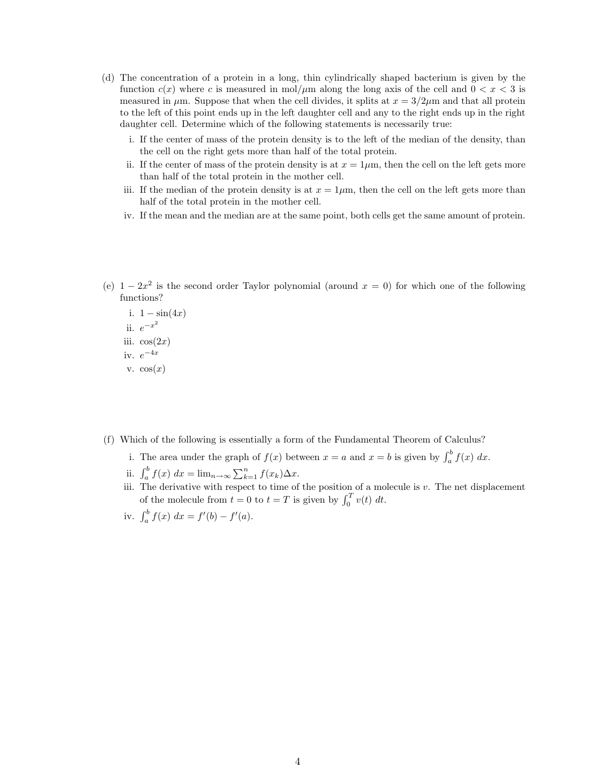- (d) The concentration of a protein in a long, thin cylindrically shaped bacterium is given by the function  $c(x)$  where c is measured in mol/ $\mu$ m along the long axis of the cell and  $0 < x < 3$  is measured in  $\mu$ m. Suppose that when the cell divides, it splits at  $x = 3/2\mu$ m and that all protein to the left of this point ends up in the left daughter cell and any to the right ends up in the right daughter cell. Determine which of the following statements is necessarily true:
	- i. If the center of mass of the protein density is to the left of the median of the density, than the cell on the right gets more than half of the total protein.
	- ii. If the center of mass of the protein density is at  $x = 1 \mu m$ , then the cell on the left gets more than half of the total protein in the mother cell.
	- iii. If the median of the protein density is at  $x = 1 \mu m$ , then the cell on the left gets more than half of the total protein in the mother cell.
	- iv. If the mean and the median are at the same point, both cells get the same amount of protein.
- (e)  $1-2x^2$  is the second order Taylor polynomial (around  $x=0$ ) for which one of the following functions?

i.  $1 - \sin(4x)$ ii.  $e^{-x^2}$ iii.  $cos(2x)$ iv.  $e^{-4x}$ v.  $cos(x)$ 

- (f) Which of the following is essentially a form of the Fundamental Theorem of Calculus?
	- i. The area under the graph of  $f(x)$  between  $x = a$  and  $x = b$  is given by  $\int_a^b f(x) dx$ .
	- ii.  $\int_a^b f(x) dx = \lim_{n \to \infty} \sum_{k=1}^n f(x_k) \Delta x$ .
	- iii. The derivative with respect to time of the position of a molecule is v. The net displacement of the molecule from  $t = 0$  to  $t = T$  is given by  $\int_0^T v(t) dt$ .
	- iv.  $\int_a^b f(x) \, dx = f'(b) f'(a)$ .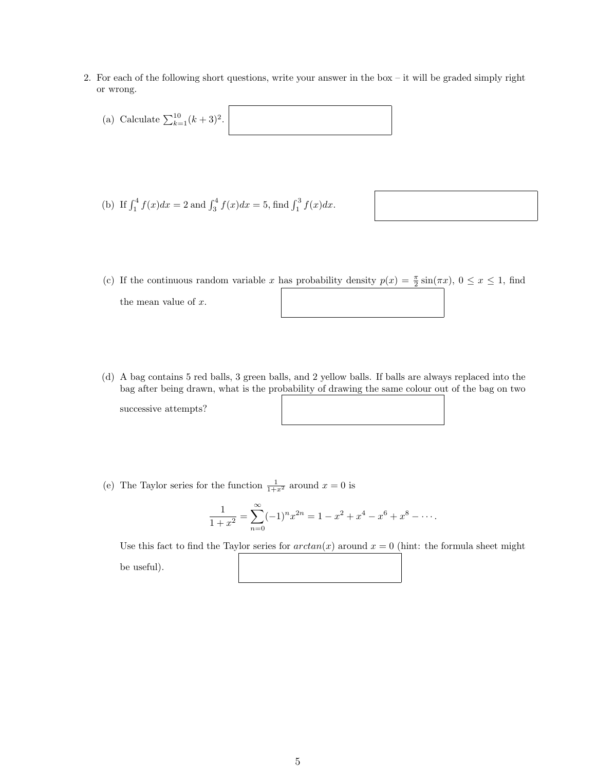- 2. For each of the following short questions, write your answer in the box it will be graded simply right or wrong.
	- (a) Calculate  $\sum_{k=1}^{10} (k+3)^2$ .

(b) If 
$$
\int_1^4 f(x)dx = 2
$$
 and  $\int_3^4 f(x)dx = 5$ , find  $\int_1^3 f(x)dx$ .

- (c) If the continuous random variable x has probability density  $p(x) = \frac{\pi}{2} \sin(\pi x)$ ,  $0 \le x \le 1$ , find the mean value of  $x$ .
- (d) A bag contains 5 red balls, 3 green balls, and 2 yellow balls. If balls are always replaced into the bag after being drawn, what is the probability of drawing the same colour out of the bag on two

successive attempts?

$$
\begin{array}{|c|c|} \hline \rule{0.3cm}{0.4pt} & \rule{0.3cm}{0.4pt} & \rule{0.3cm}{0.4pt} \\ \hline \rule{0.3cm}{0.4pt} & \rule{0.3cm}{0.4pt} & \rule{0.3cm}{0.4pt} \\ \hline \rule{0.3cm}{0.4pt} & \rule{0.3cm}{0.4pt} & \rule{0.3cm}{0.4pt} \\ \hline \rule{0.3cm}{0.4pt} & \rule{0.3cm}{0.4pt} & \rule{0.3cm}{0.4pt} \\ \hline \rule{0.3cm}{0.4pt} & \rule{0.3cm}{0.4pt} & \rule{0.3cm}{0.4pt} \\ \hline \rule{0.3cm}{0.4pt} & \rule{0.3cm}{0.4pt} & \rule{0.3cm}{0.4pt} \\ \hline \rule{0.3cm}{0.4pt} & \rule{0.3cm}{0.4pt} & \rule{0.3cm}{0.4pt} \\ \hline \rule{0.3cm}{0.4pt} & \rule{0.3cm}{0.4pt} & \rule{0.3cm}{0.4pt} \\ \hline \rule{0.3cm}{0.4pt} & \rule{0.3cm}{0.4pt} & \rule{0.3cm}{0.4pt} \\ \hline \rule{0.3cm}{0.4pt} & \rule{0.3cm}{0.4pt} & \rule{0.3cm}{0.4pt} \\ \hline \rule{0.3cm}{0.4pt} & \rule{0.3cm}{0.4pt} & \rule{0.3cm}{0.4pt} \\ \hline \rule{0.3cm}{0.4pt} & \rule{0.3cm}{0.4pt} & \rule{0.3cm}{0.4pt} \\ \hline \rule{0.3cm}{0.4pt} & \rule{0.3cm}{0.4pt} & \rule{0.3cm}{0.4pt} \\ \hline \rule{0.3cm}{0.4pt} & \rule{0.3cm}{0.4pt} & \rule{0.3cm}{0.4pt} \\ \hline \rule{0.3cm}{0.4pt} & \rule{0.3cm}{0.4pt} & \rule{0.3cm}{0.4pt} \\ \hline \rule{0.3cm}{0.4pt} & \rule{0.3cm}{0.4pt} & \rule{0.3cm}{0.4pt} \\ \hline \rule{0.3cm}{0.4pt} & \rule{0.3cm}{0.4pt
$$

(e) The Taylor series for the function  $\frac{1}{1+x^2}$  around  $x=0$  is

$$
\frac{1}{1+x^2} = \sum_{n=0}^{\infty} (-1)^n x^{2n} = 1 - x^2 + x^4 - x^6 + x^8 - \dots
$$

Use this fact to find the Taylor series for  $arctan(x)$  around  $x = 0$  (hint: the formula sheet might be useful).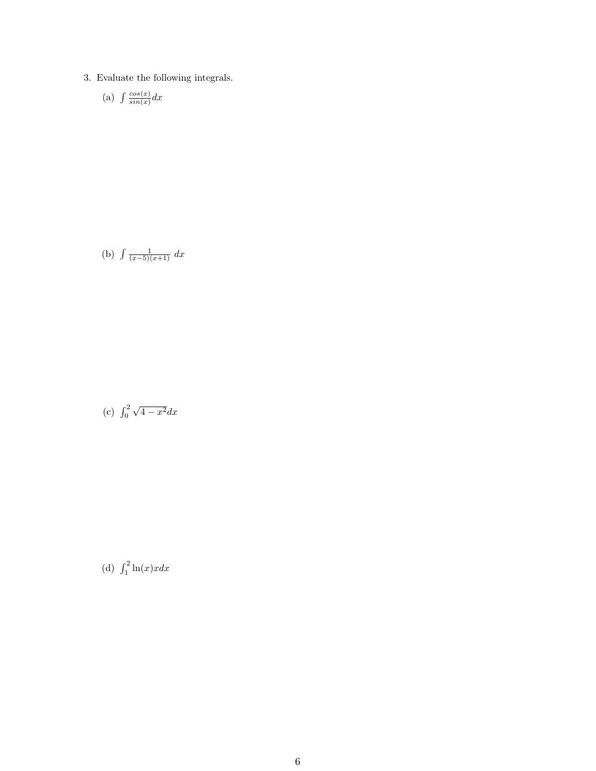3. Evaluate the following integrals.

(a) 
$$
\int \frac{\cos(x)}{\sin(x)} dx
$$

(b) 
$$
\int \frac{1}{(x-5)(x+1)} dx
$$

(c) 
$$
\int_0^2 \sqrt{4 - x^2} dx
$$

(d)  $\int_1^2 \ln(x) x dx$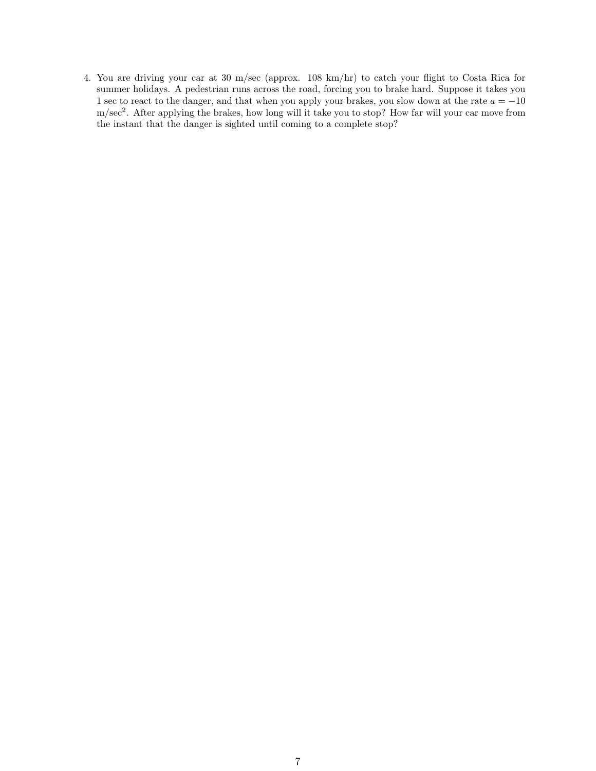4. You are driving your car at 30 m/sec (approx. 108 km/hr) to catch your flight to Costa Rica for summer holidays. A pedestrian runs across the road, forcing you to brake hard. Suppose it takes you 1 sec to react to the danger, and that when you apply your brakes, you slow down at the rate  $a = -10$ m/sec<sup>2</sup> . After applying the brakes, how long will it take you to stop? How far will your car move from the instant that the danger is sighted until coming to a complete stop?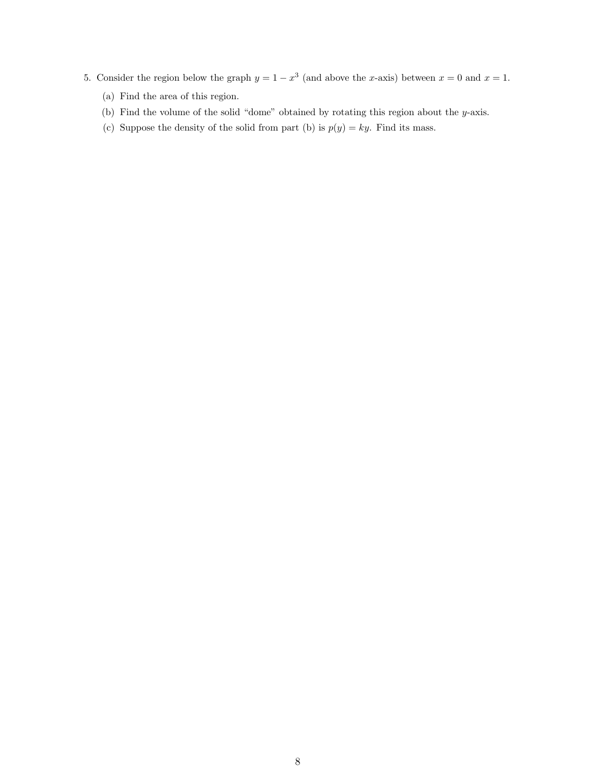- 5. Consider the region below the graph  $y = 1 x^3$  (and above the x-axis) between  $x = 0$  and  $x = 1$ .
	- (a) Find the area of this region.
	- (b) Find the volume of the solid "dome" obtained by rotating this region about the y-axis.
	- (c) Suppose the density of the solid from part (b) is  $p(y) = ky$ . Find its mass.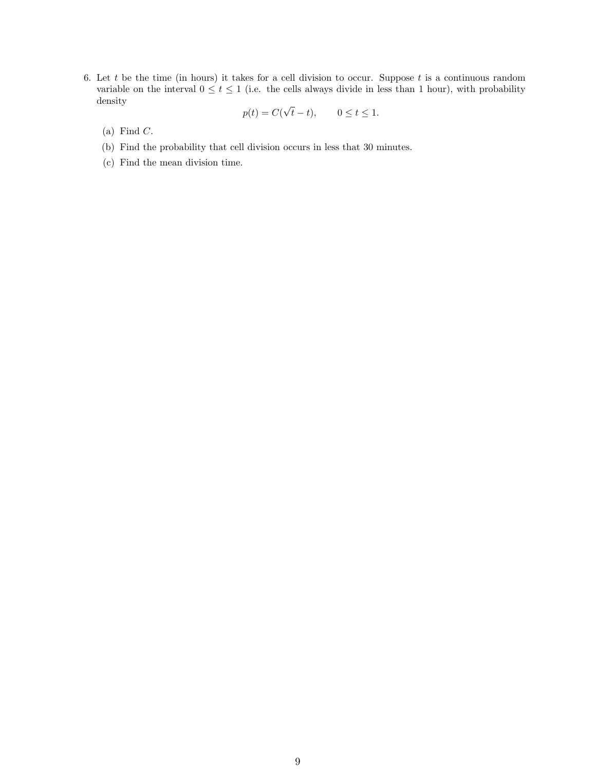6. Let t be the time (in hours) it takes for a cell division to occur. Suppose t is a continuous random variable on the interval  $0 \le t \le 1$  (i.e. the cells always divide in less than 1 hour), with probability density √

$$
p(t) = C(\sqrt{t} - t), \qquad 0 \le t \le 1.
$$

- $(a)$  Find  $C$ .
- (b) Find the probability that cell division occurs in less that 30 minutes.
- (c) Find the mean division time.